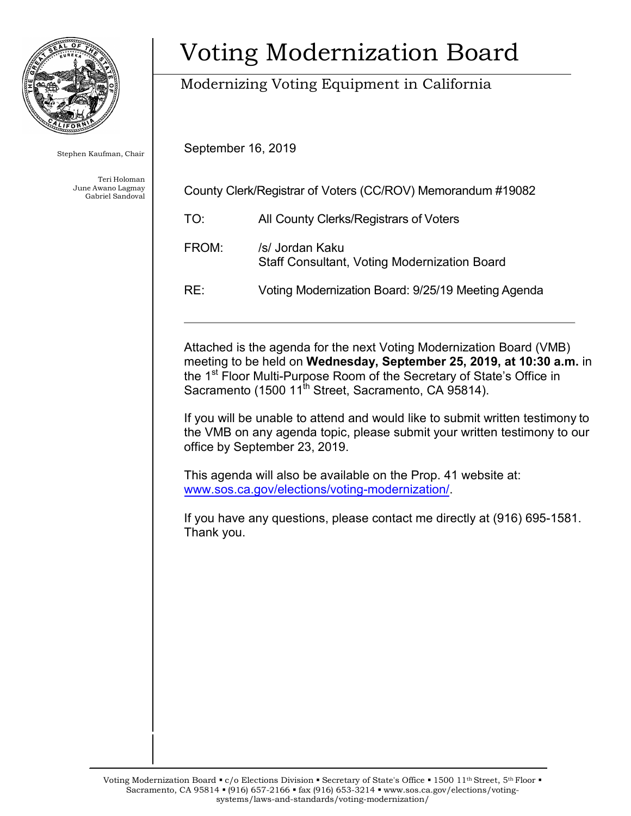

Stephen Kaufman, Chair

Teri Holoman June Awano Lagmay Gabriel Sandoval

# Voting Modernization Board

## Modernizing Voting Equipment in California

September 16, 2019

| County Clerk/Registrar of Voters (CC/ROV) Memorandum #19082 |                                        |
|-------------------------------------------------------------|----------------------------------------|
| TO:                                                         | All County Clerks/Registrars of Voters |
| FROM:                                                       | /s/ Jordan Kaku                        |

RE: Voting Modernization Board: 9/25/19 Meeting Agenda

Staff Consultant, Voting Modernization Board

Attached is the agenda for the next Voting Modernization Board (VMB) meeting to be held on **Wednesday, September 25, 2019, at 10:30 a.m.** in the 1<sup>st</sup> Floor Multi-Purpose Room of the Secretary of State's Office in Sacramento (1500 11<sup>th</sup> Street, Sacramento, CA 95814).

If you will be unable to attend and would like to submit written testimony to the VMB on any agenda topic, please submit your written testimony to our office by September 23, 2019.

This agenda will also be available on the Prop. 41 website at: [www.sos.ca.gov/elections/voting-modernization/.](http://www.sos.ca.gov/elections/voting-modernization/) 

If you have any questions, please contact me directly at (916) 695-1581. Thank you.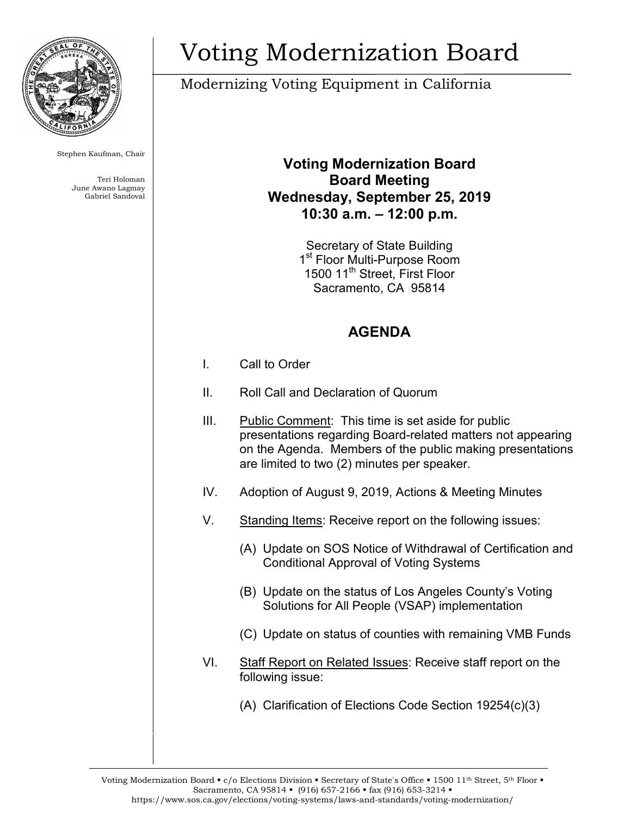

Stephen Kaufman, Chair

Teri Holoman June Awano Lagmay Gabriel Sandoval

# Voting Modernization Board

### Modernizing Voting Equipment in California

#### **Voting Modernization Board Board Meeting Wednesday, September 25, 2019 10:30 a.m. – 12:00 p.m.**

Secretary of State Building 1<sup>st</sup> Floor Multi-Purpose Room 1500 11<sup>th</sup> Street. First Floor Sacramento, CA 95814

### **AGENDA**

- I. Call to Order
- II. Roll Call and Declaration of Quorum
- III. Public Comment: This time is set aside for public presentations regarding Board-related matters not appearing on the Agenda. Members of the public making presentations are limited to two (2) minutes per speaker.
- IV. Adoption of August 9, 2019, Actions & Meeting Minutes
- V. Standing Items: Receive report on the following issues:
	- (A) Update on SOS Notice of Withdrawal of Certification and Conditional Approval of Voting Systems
	- (B) Update on the status of Los Angeles County's Voting Solutions for All People (VSAP) implementation
	- (C) Update on status of counties with remaining VMB Funds
- VI. Staff Report on Related Issues: Receive staff report on the following issue:
	- (A) Clarification of Elections Code Section 19254(c)(3)

Voting Modernization Board  $\bullet$  c/o Elections Division  $\bullet$  Secretary of State's Office  $\bullet$  1500 11<sup>th</sup> Street, 5<sup>th</sup> Floor  $\bullet$ Sacramento, CA 95814 • (916) 657-2166 • fax (916) 653-3214 • https://www.sos.ca.gov/elections/voting-systems/laws-and-standards/voting-modernization/